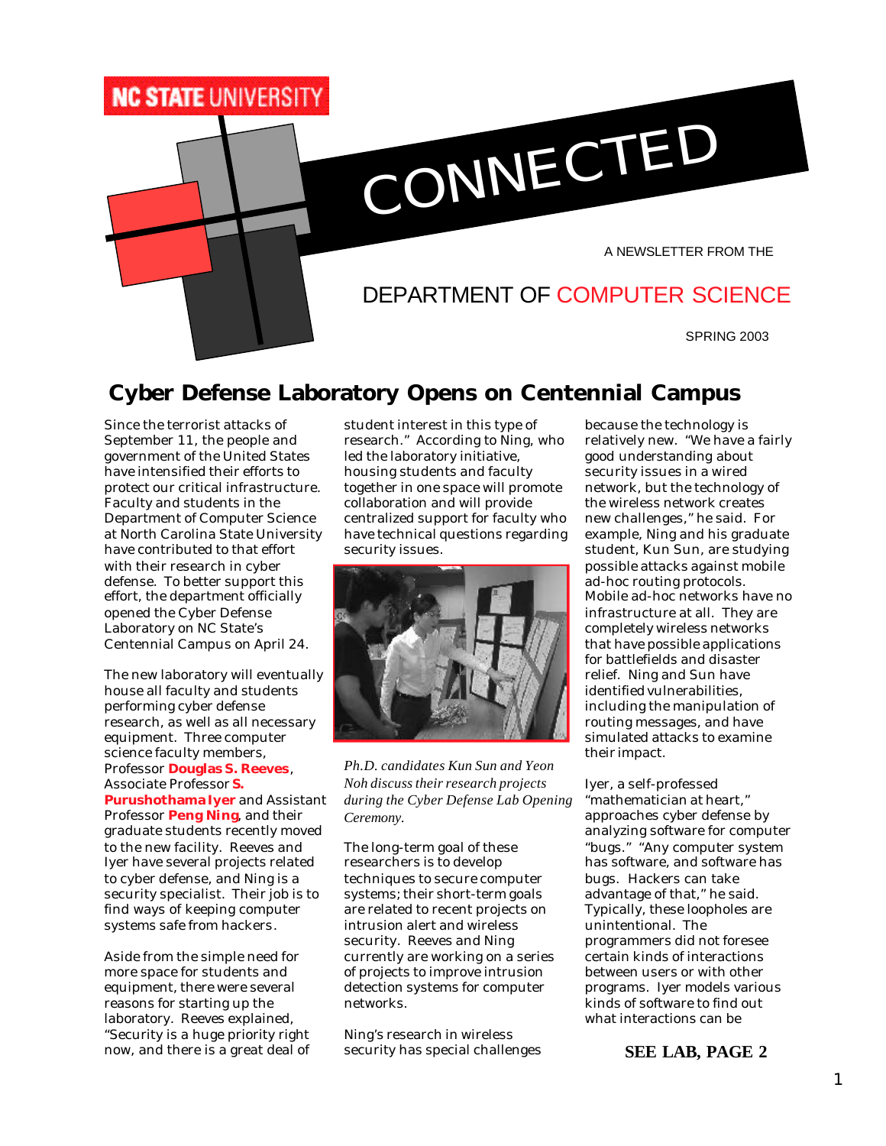

## **Cyber Defense Laboratory Opens on Centennial Campus**

Since the terrorist attacks of September 11, the people and government of the United States have intensified their efforts to protect our critical infrastructure. Faculty and students in the Department of Computer Science at North Carolina State University have contributed to that effort with their research in cyber defense. To better support this effort, the department officially opened the Cyber Defense Laboratory on NC State's Centennial Campus on April 24.

The new laboratory will eventually house all faculty and students performing cyber defense research, as well as all necessary equipment. Three computer science faculty members, Professor **Douglas S. Reeves**, Associate Professor **S. Purushothama Iyer** and Assistant Professor **Peng Ning**, and their graduate students recently moved to the new facility. Reeves and Iyer have several projects related to cyber defense, and Ning is a security specialist. Their job is to find ways of keeping computer systems safe from hackers.

Aside from the simple need for more space for students and equipment, there were several reasons for starting up the laboratory. Reeves explained, "Security is a huge priority right now, and there is a great deal of student interest in this type of research." According to Ning, who led the laboratory initiative, housing students and faculty together in one space will promote collaboration and will provide centralized support for faculty who have technical questions regarding security issues.



*Ph.D. candidates Kun Sun and Yeon Noh discuss their research projects during the Cyber Defense Lab Opening Ceremony.*

The long-term goal of these researchers is to develop techniques to secure computer systems; their short-term goals are related to recent projects on intrusion alert and wireless security. Reeves and Ning currently are working on a series of projects to improve intrusion detection systems for computer networks.

Ning's research in wireless security has special challenges because the technology is relatively new. "We have a fairly good understanding about security issues in a wired network, but the technology of the wireless network creates new challenges," he said. For example, Ning and his graduate student, Kun Sun, are studying possible attacks against mobile ad-hoc routing protocols. Mobile ad-hoc networks have no infrastructure at all. They are completely wireless networks that have possible applications for battlefields and disaster relief. Ning and Sun have identified vulnerabilities, including the manipulation of routing messages, and have simulated attacks to examine their impact.

Iyer, a self-professed "mathematician at heart," approaches cyber defense by analyzing software for computer "bugs." "Any computer system has software, and software has bugs. Hackers can take advantage of that," he said. Typically, these loopholes are unintentional. The programmers did not foresee certain kinds of interactions between users or with other programs. Iyer models various kinds of software to find out what interactions can be

**SEE LAB, PAGE 2**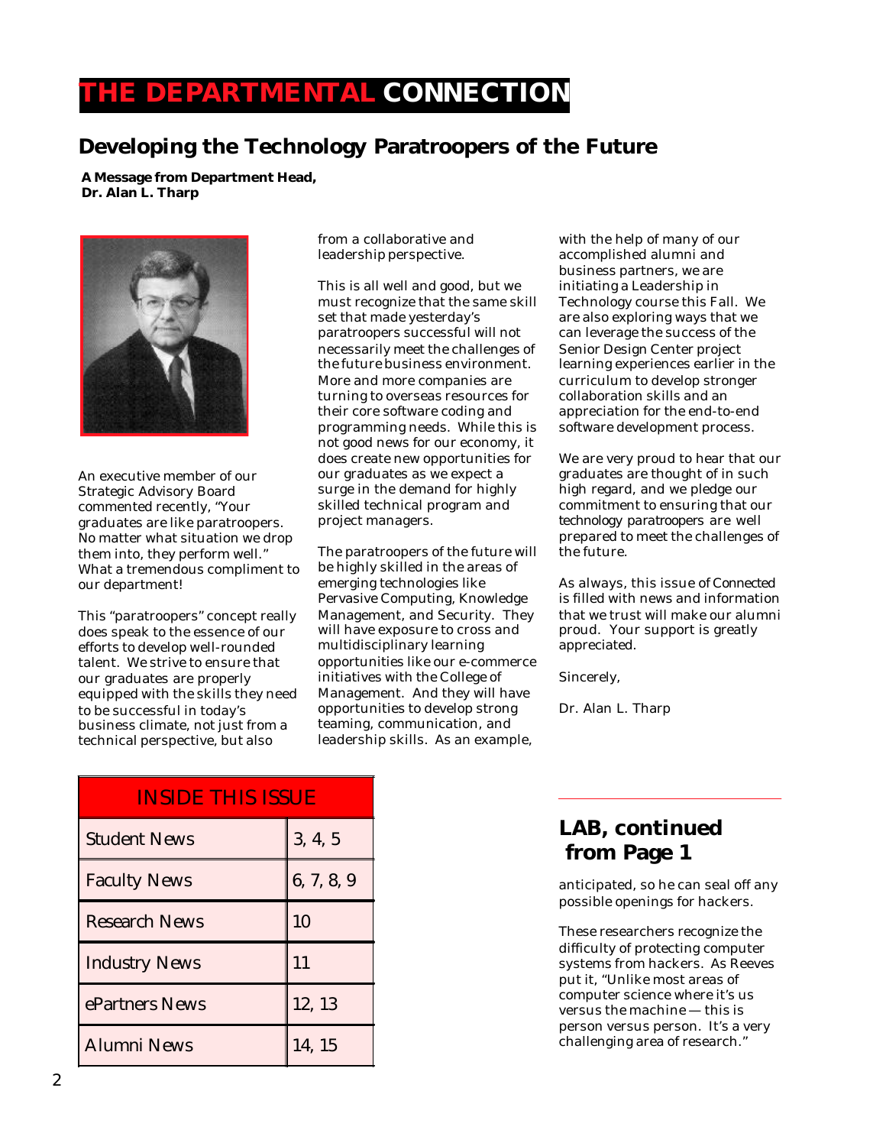## **THE DEPARTMENTAL CONNECTION**

## **Developing the Technology Paratroopers of the Future**

**A Message from Department Head, Dr. Alan L. Tharp**



An executive member of our Strategic Advisory Board commented recently, "Your graduates are like paratroopers. No matter what situation we drop them into, they perform well." What a tremendous compliment to our department!

This "paratroopers" concept really does speak to the essence of our efforts to develop well-rounded talent. We strive to ensure that our graduates are properly equipped with the skills they need to be successful in today's business climate, not just from a technical perspective, but also

from a collaborative and leadership perspective.

This is all well and good, but we must recognize that the same skill set that made yesterday's paratroopers successful will not necessarily meet the challenges of the future business environment. More and more companies are turning to overseas resources for their core software coding and programming needs. While this is not good news for our economy, it does create new opportunities for our graduates as we expect a surge in the demand for highly skilled technical program and project managers.

The paratroopers of the future will be highly skilled in the areas of emerging technologies like Pervasive Computing, Knowledge Management, and Security. They will have exposure to cross and multidisciplinary learning opportunities like our e-commerce initiatives with the College of Management. And they will have opportunities to develop strong teaming, communication, and leadership skills. As an example,

with the help of many of our accomplished alumni and business partners, we are initiating a Leadership in Technology course this Fall. We are also exploring ways that we can leverage the success of the Senior Design Center project learning experiences earlier in the curriculum to develop stronger collaboration skills and an appreciation for the end-to-end software development process.

We are very proud to hear that our graduates are thought of in such high regard, and we pledge our commitment to ensuring that our *technology paratroopers* are well prepared to meet the challenges of the future.

As always, this issue of *Connected* is filled with news and information that we trust will make our alumni proud. Your support is greatly appreciated.

Sincerely,

Dr. Alan L. Tharp

| <b>INSIDE THIS ISSUE</b> |            |
|--------------------------|------------|
| <b>Student News</b>      | 3, 4, 5    |
| <b>Faculty News</b>      | 6, 7, 8, 9 |
| <b>Research News</b>     | 10         |
| <b>Industry News</b>     | 11         |
| ePartners News           | 12, 13     |
| <b>Alumni News</b>       | 14, 15     |

#### **LAB, continued from Page 1**

anticipated, so he can seal off any possible openings for hackers.

These researchers recognize the difficulty of protecting computer systems from hackers. As Reeves put it, "Unlike most areas of computer science where it's us versus the machine — this is person versus person. It's a very challenging area of research."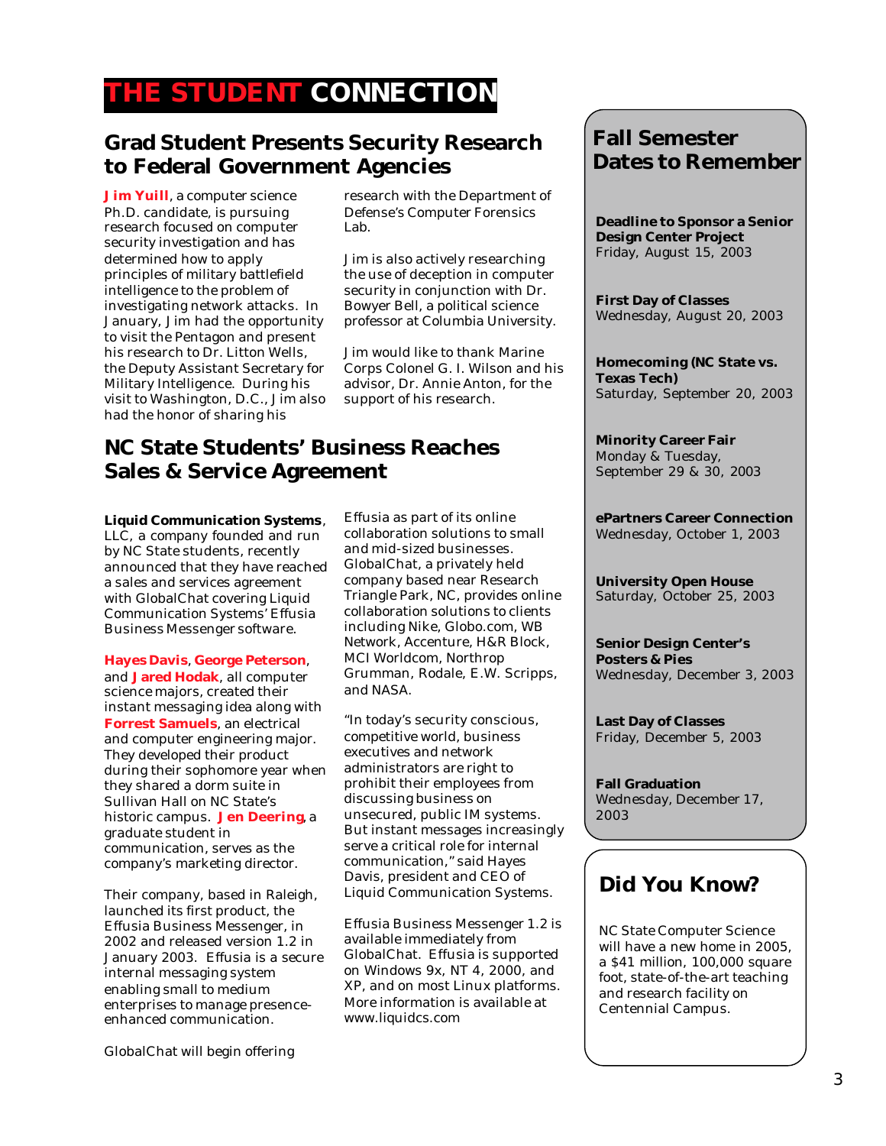## **THE STUDENT CONNECTION**

#### **Grad Student Presents Security Research to Federal Government Agencies**

**Jim Yuill**, a computer science Ph.D. candidate, is pursuing research focused on computer security investigation and has determined how to apply principles of military battlefield intelligence to the problem of investigating network attacks. In January, Jim had the opportunity to visit the Pentagon and present his research to Dr. Litton Wells, the Deputy Assistant Secretary for Military Intelligence. During his visit to Washington, D.C., Jim also had the honor of sharing his

research with the Department of Defense's Computer Forensics Lab.

Jim is also actively researching the use of deception in computer security in conjunction with Dr. Bowyer Bell, a political science professor at Columbia University.

Jim would like to thank Marine Corps Colonel G. I. Wilson and his advisor, Dr. Annie Anton, for the support of his research.

#### **NC State Students' Business Reaches Sales & Service Agreement**

**Liquid Communication Systems**, LLC, a company founded and run by NC State students, recently announced that they have reached a sales and services agreement with GlobalChat covering Liquid Communication Systems' Effusia Business Messenger software.

**Hayes Davis**, **George Peterson**, and **Jared Hodak**, all computer science majors, created their instant messaging idea along with **Forrest Samuels**, an electrical and computer engineering major. They developed their product during their sophomore year when they shared a dorm suite in Sullivan Hall on NC State's historic campus. **Jen Deering**, a graduate student in communication, serves as the company's marketing director.

Their company, based in Raleigh, launched its first product, the Effusia Business Messenger, in 2002 and released version 1.2 in January 2003. Effusia is a secure internal messaging system enabling small to medium enterprises to manage presenceenhanced communication.

GlobalChat will begin offering

Effusia as part of its online collaboration solutions to small and mid-sized businesses. GlobalChat, a privately held company based near Research Triangle Park, NC, provides online collaboration solutions to clients including Nike, Globo.com, WB Network, Accenture, H&R Block, MCI Worldcom, Northrop Grumman, Rodale, E.W. Scripps, and NASA.

"In today's security conscious, competitive world, business executives and network administrators are right to prohibit their employees from discussing business on unsecured, public IM systems. But instant messages increasingly serve a critical role for internal communication," said Hayes Davis, president and CEO of Liquid Communication Systems.

Effusia Business Messenger 1.2 is available immediately from GlobalChat. Effusia is supported on Windows 9x, NT 4, 2000, and XP, and on most Linux platforms. More information is available at www.liquidcs.com

#### **Fall Semester Dates to Remember**

**Deadline to Sponsor a Senior Design Center Project** Friday, August 15, 2003

**First Day of Classes** Wednesday, August 20, 2003

**Homecoming (NC State vs. Texas Tech)** Saturday, September 20, 2003

**Minority Career Fair** Monday & Tuesday, September 29 & 30, 2003

**ePartners Career Connection** Wednesday, October 1, 2003

**University Open House** Saturday, October 25, 2003

**Senior Design Center's Posters & Pies** Wednesday, December 3, 2003

**Last Day of Classes** Friday, December 5, 2003

**Fall Graduation** Wednesday, December 17, 2003

#### **Did You Know?**

NC State Computer Science will have a new home in 2005, a \$41 million, 100,000 square foot, state-of-the-art teaching and research facility on Centennial Campus.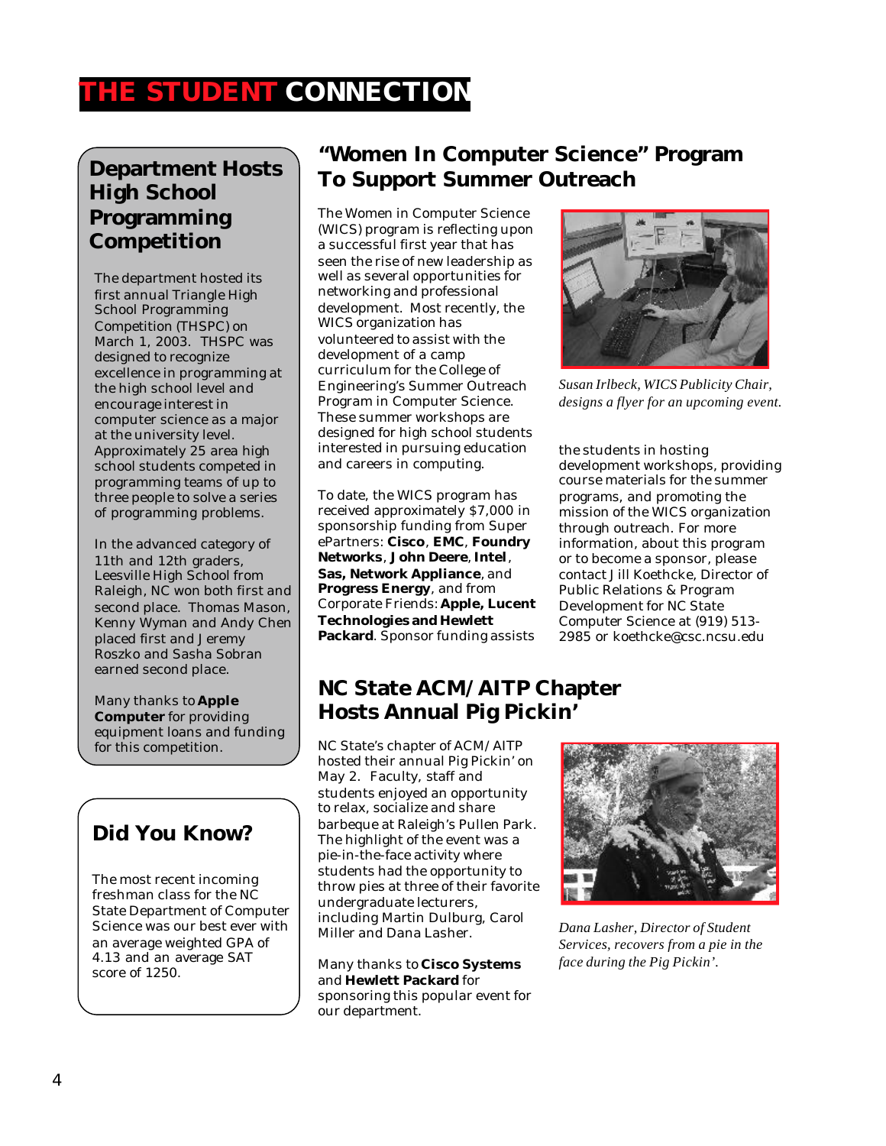# **THE STUDENT CONNECTION**

#### **Department Hosts High School Programming Competition**

The department hosted its first annual Triangle High School Programming Competition (THSPC) on March 1, 2003. THSPC was designed to recognize excellence in programming at the high school level and encourage interest in computer science as a major at the university level. Approximately 25 area high school students competed in programming teams of up to three people to solve a series of programming problems.

In the advanced category of 11th and 12th graders, Leesville High School from Raleigh, NC won both first and second place. Thomas Mason, Kenny Wyman and Andy Chen placed first and Jeremy Roszko and Sasha Sobran earned second place.

Many thanks to **Apple Computer** for providing equipment loans and funding for this competition.

## **Did You Know?**

The most recent incoming freshman class for the NC State Department of Computer Science was our best ever with an average weighted GPA of 4.13 and an average SAT score of 1250.

## **"Women In Computer Science" Program To Support Summer Outreach**

The Women in Computer Science (WICS) program is reflecting upon a successful first year that has seen the rise of new leadership as well as several opportunities for networking and professional development. Most recently, the WICS organization has volunteered to assist with the development of a camp curriculum for the College of Engineering's Summer Outreach Program in Computer Science. These summer workshops are designed for high school students interested in pursuing education and careers in computing.

To date, the WICS program has received approximately \$7,000 in sponsorship funding from Super ePartners: **Cisco**, **EMC**, **Foundry Networks**, **John Deere**, **Intel**, **Sas, Network Appliance**, and **Progress Energy**, and from Corporate Friends: **Apple, Lucent Technologies and Hewlett Packard**. Sponsor funding assists



*Susan Irlbeck, WICS Publicity Chair, designs a flyer for an upcoming event.*

the students in hosting development workshops, providing course materials for the summer programs, and promoting the mission of the WICS organization through outreach. For more information, about this program or to become a sponsor, please contact Jill Koethcke, Director of Public Relations & Program Development for NC State Computer Science at (919) 513- 2985 or koethcke@csc.ncsu.edu

#### **NC State ACM/AITP Chapter Hosts Annual Pig Pickin'**

NC State's chapter of ACM/AITP hosted their annual Pig Pickin' on May 2. Faculty, staff and students enjoyed an opportunity to relax, socialize and share barbeque at Raleigh's Pullen Park. The highlight of the event was a pie-in-the-face activity where students had the opportunity to throw pies at three of their favorite undergraduate lecturers, including Martin Dulburg, Carol Miller and Dana Lasher.

Many thanks to **Cisco Systems** and **Hewlett Packard** for sponsoring this popular event for our department.



*Dana Lasher, Director of Student Services, recovers from a pie in the face during the Pig Pickin'.*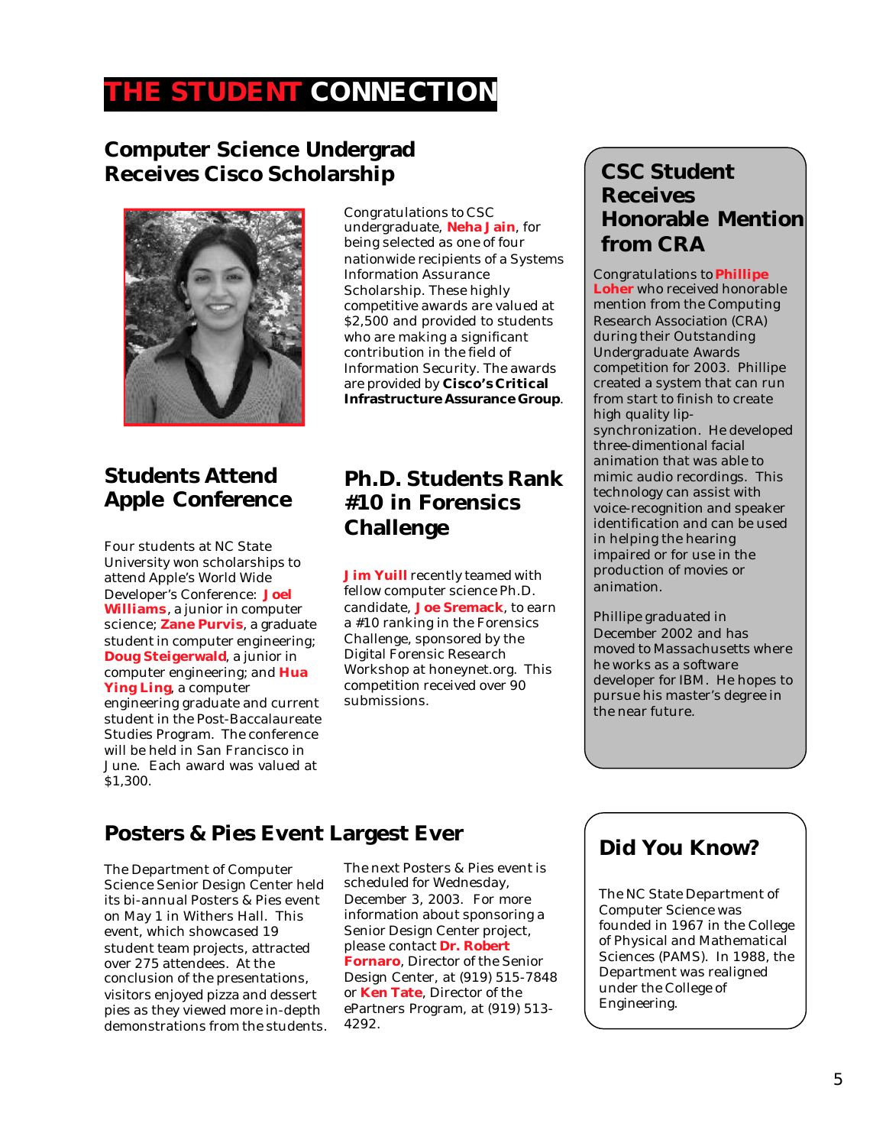## **THE STUDENT CONNECTION**

#### **Computer Science Undergrad Receives Cisco Scholarship**



## **Students Attend Apple Conference**

Four students at NC State University won scholarships to attend Apple's World Wide Developer's Conference: **Joel Williams**, a junior in computer science; **Zane Purvis**, a graduate student in computer engineering; **Doug Steigerwald**, a junior in computer engineering; and **Hua Ying Ling**, a computer engineering graduate and current student in the Post-Baccalaureate Studies Program. The conference will be held in San Francisco in June. Each award was valued at \$1,300.

Congratulations to CSC undergraduate, **Neha Jain**, for being selected as one of four nationwide recipients of a Systems Information Assurance Scholarship. These highly competitive awards are valued at \$2,500 and provided to students who are making a significant contribution in the field of Information Security. The awards are provided by **Cisco's Critical Infrastructure Assurance Group**.

#### **Ph.D. Students Rank #10 in Forensics Challenge**

**Jim Yuill** recently teamed with fellow computer science Ph.D. candidate, **Joe Sremack**, to earn a #10 ranking in the Forensics Challenge, sponsored by the Digital Forensic Research Workshop at honeynet.org. This competition received over 90 submissions.

#### **CSC Student Receives Honorable Mention from CRA**

Congratulations to **Phillipe Loher** who received honorable mention from the Computing Research Association (CRA) during their Outstanding Undergraduate Awards competition for 2003. Phillipe created a system that can run from start to finish to create high quality lipsynchronization. He developed three-dimentional facial animation that was able to mimic audio recordings. This technology can assist with voice-recognition and speaker identification and can be used in helping the hearing impaired or for use in the production of movies or animation.

Phillipe graduated in December 2002 and has moved to Massachusetts where he works as a software developer for IBM. He hopes to pursue his master's degree in the near future.

## **Posters & Pies Event Largest Ever**

The Department of Computer Science Senior Design Center held its bi-annual Posters & Pies event on May 1 in Withers Hall. This event, which showcased 19 student team projects, attracted over 275 attendees. At the conclusion of the presentations, visitors enjoyed pizza and dessert pies as they viewed more in-depth demonstrations from the students. The next Posters & Pies event is scheduled for Wednesday, December 3, 2003. For more information about sponsoring a Senior Design Center project, please contact **Dr. Robert Fornaro**, Director of the Senior Design Center, at (919) 515-7848 or **Ken Tate**, Director of the ePartners Program, at (919) 513- 4292.

#### **Did You Know?**

The NC State Department of Computer Science was founded in 1967 in the College of Physical and Mathematical Sciences (PAMS). In 1988, the Department was realigned under the College of Engineering.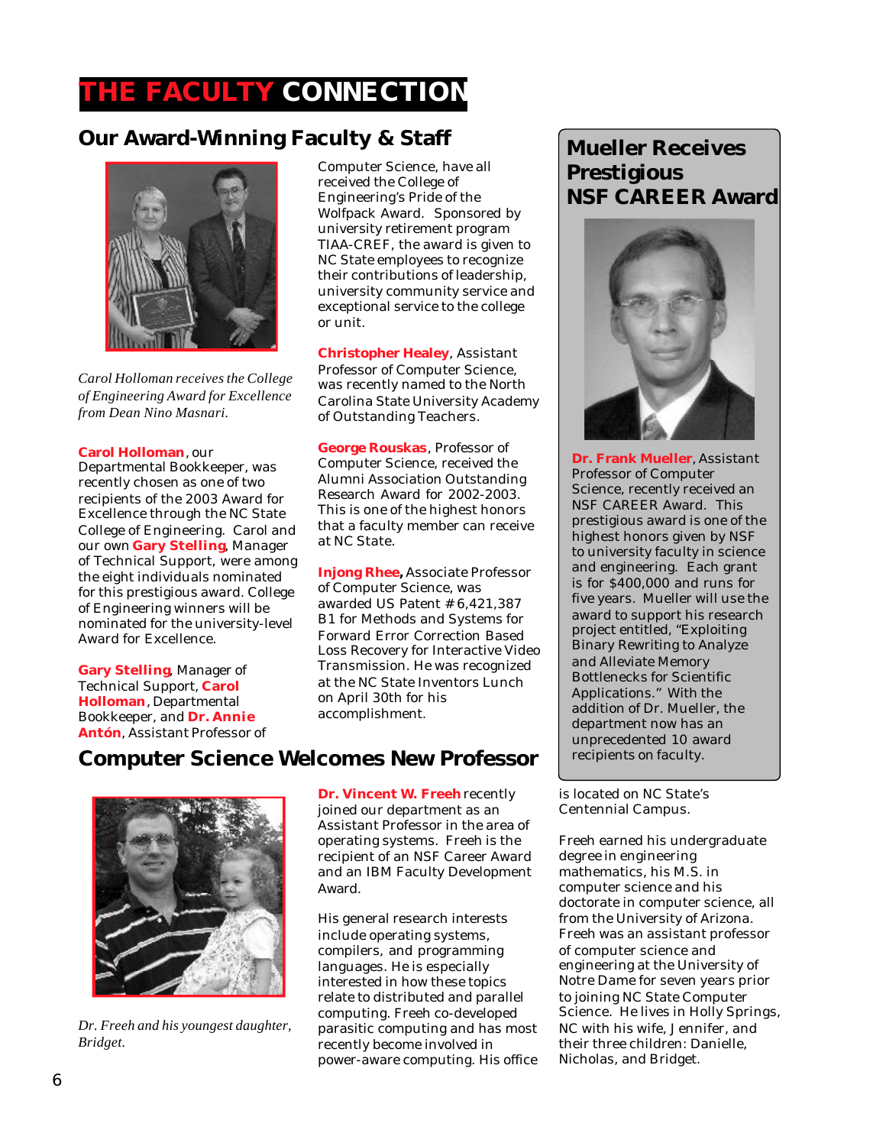## **THE FACULTY CONNECTION**

#### **Our Award-Winning Faculty & Staff**



*Carol Holloman receives the College of Engineering Award for Excellence from Dean Nino Masnari.*

#### **Carol Holloman**, our

Departmental Bookkeeper, was recently chosen as one of two recipients of the 2003 Award for Excellence through the NC State College of Engineering. Carol and our own **Gary Stelling**, Manager of Technical Support, were among the eight individuals nominated for this prestigious award. College of Engineering winners will be nominated for the university-level Award for Excellence.

**Gary Stelling**, Manager of Technical Support, **Carol Holloman**, Departmental Bookkeeper, and **Dr. Annie Antón**, Assistant Professor of Computer Science, have all received the College of Engineering's Pride of the Wolfpack Award. Sponsored by university retirement program TIAA-CREF, the award is given to NC State employees to recognize their contributions of leadership, university community service and exceptional service to the college or unit.

**Christopher Healey**, Assistant Professor of Computer Science, was recently named to the North Carolina State University Academy of Outstanding Teachers.

**George Rouskas**, Professor of Computer Science, received the Alumni Association Outstanding Research Award for 2002-2003. This is one of the highest honors that a faculty member can receive at NC State.

**Injong Rhee,** Associate Professor of Computer Science, was awarded US Patent # 6,421,387 B1 for Methods and Systems for Forward Error Correction Based Loss Recovery for Interactive Video Transmission. He was recognized at the NC State Inventors Lunch on April 30th for his accomplishment.

#### **Computer Science Welcomes New Professor**



*Dr. Freeh and his youngest daughter, Bridget.*

**Dr. Vincent W. Freeh** recently joined our department as an Assistant Professor in the area of operating systems. Freeh is the recipient of an NSF Career Award and an IBM Faculty Development Award.

His general research interests include operating systems, compilers, and programming languages. He is especially interested in how these topics relate to distributed and parallel computing. Freeh co-developed parasitic computing and has most recently become involved in power-aware computing. His office

#### **Mueller Receives Prestigious NSF CAREER Award**



**Dr. Frank Mueller**, Assistant Professor of Computer Science, recently received an NSF CAREER Award. This prestigious award is one of the highest honors given by NSF to university faculty in science and engineering. Each grant is for \$400,000 and runs for five years. Mueller will use the award to support his research project entitled, "Exploiting Binary Rewriting to Analyze and Alleviate Memory Bottlenecks for Scientific Applications." With the addition of Dr. Mueller, the department now has an unprecedented 10 award recipients on faculty.

is located on NC State's Centennial Campus.

Freeh earned his undergraduate degree in engineering mathematics, his M.S. in computer science and his doctorate in computer science, all from the University of Arizona. Freeh was an assistant professor of computer science and engineering at the University of Notre Dame for seven years prior to joining NC State Computer Science. He lives in Holly Springs, NC with his wife, Jennifer, and their three children: Danielle, Nicholas, and Bridget.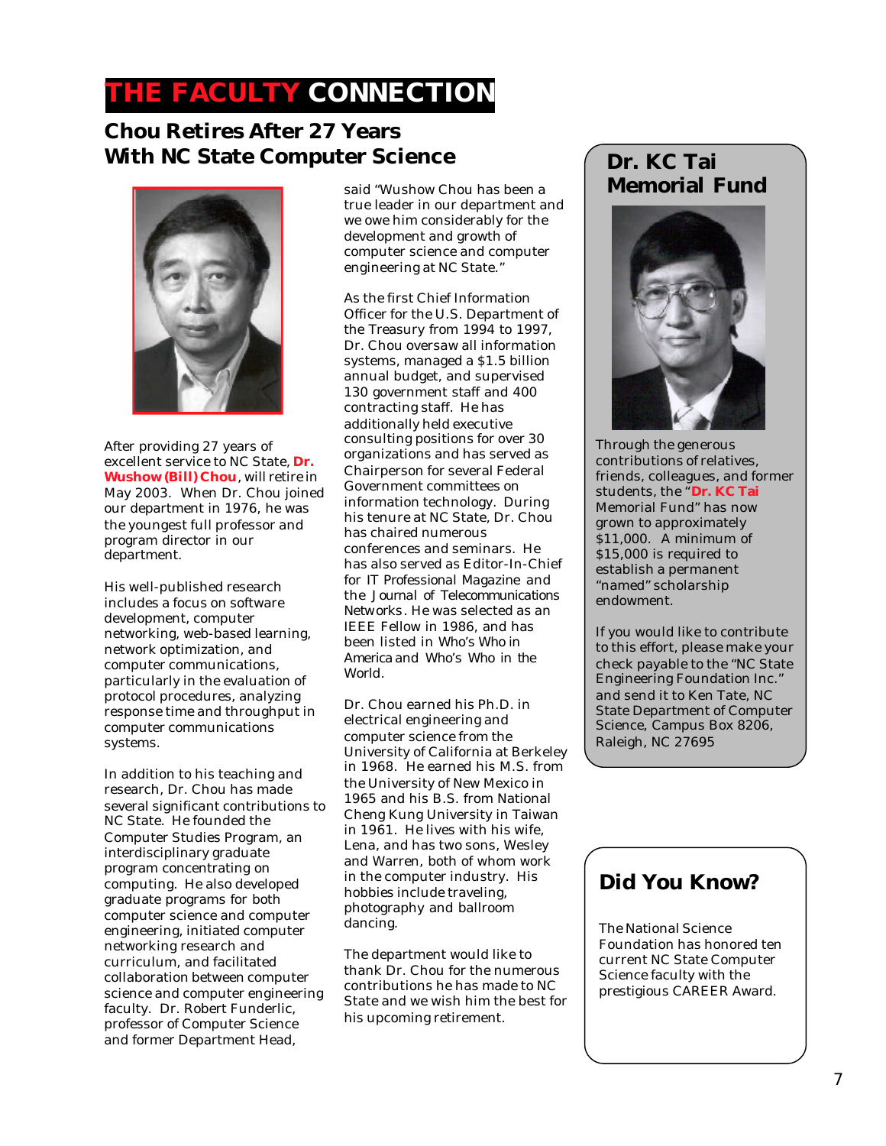# **THE FACULTY CONNECTION**

#### **Chou Retires After 27 Years With NC State Computer Science**



After providing 27 years of excellent service to NC State, **Dr. Wushow (Bill) Chou**, will retire in May 2003. When Dr. Chou joined our department in 1976, he was the youngest full professor and program director in our department.

His well-published research includes a focus on software development, computer networking, web-based learning, network optimization, and computer communications, particularly in the evaluation of protocol procedures, analyzing response time and throughput in computer communications systems.

In addition to his teaching and research, Dr. Chou has made several significant contributions to NC State. He founded the Computer Studies Program, an interdisciplinary graduate program concentrating on computing. He also developed graduate programs for both computer science and computer engineering, initiated computer networking research and curriculum, and facilitated collaboration between computer science and computer engineering faculty. Dr. Robert Funderlic, professor of Computer Science and former Department Head,

said "Wushow Chou has been a true leader in our department and we owe him considerably for the development and growth of computer science and computer engineering at NC State."

As the first Chief Information Officer for the U.S. Department of the Treasury from 1994 to 1997, Dr. Chou oversaw all information systems, managed a \$1.5 billion annual budget, and supervised 130 government staff and 400 contracting staff. He has additionally held executive consulting positions for over 30 organizations and has served as Chairperson for several Federal Government committees on information technology. During his tenure at NC State, Dr. Chou has chaired numerous conferences and seminars. He has also served as Editor-In-Chief for *IT Professional Magazine* and the *Journal of Telecommunications Networks*. He was selected as an IEEE Fellow in 1986, and has been listed in *Who's Who in America* and *Who's Who in the World*.

Dr. Chou earned his Ph.D. in electrical engineering and computer science from the University of California at Berkeley in 1968. He earned his M.S. from the University of New Mexico in 1965 and his B.S. from National Cheng Kung University in Taiwan in 1961. He lives with his wife, Lena, and has two sons, Wesley and Warren, both of whom work in the computer industry. His hobbies include traveling, photography and ballroom dancing.

The department would like to thank Dr. Chou for the numerous contributions he has made to NC State and we wish him the best for his upcoming retirement.

## **Dr. KC Tai Memorial Fund**



Through the generous contributions of relatives, friends, colleagues, and former students, the "**Dr. KC Tai** Memorial Fund" has now grown to approximately \$11,000. A minimum of \$15,000 is required to establish a permanent "named" scholarship endowment.

If you would like to contribute to this effort, please make your check payable to the "NC State Engineering Foundation Inc." and send it to Ken Tate, NC State Department of Computer Science, Campus Box 8206, Raleigh, NC 27695

#### **Did You Know?**

The National Science Foundation has honored ten current NC State Computer Science faculty with the prestigious CAREER Award.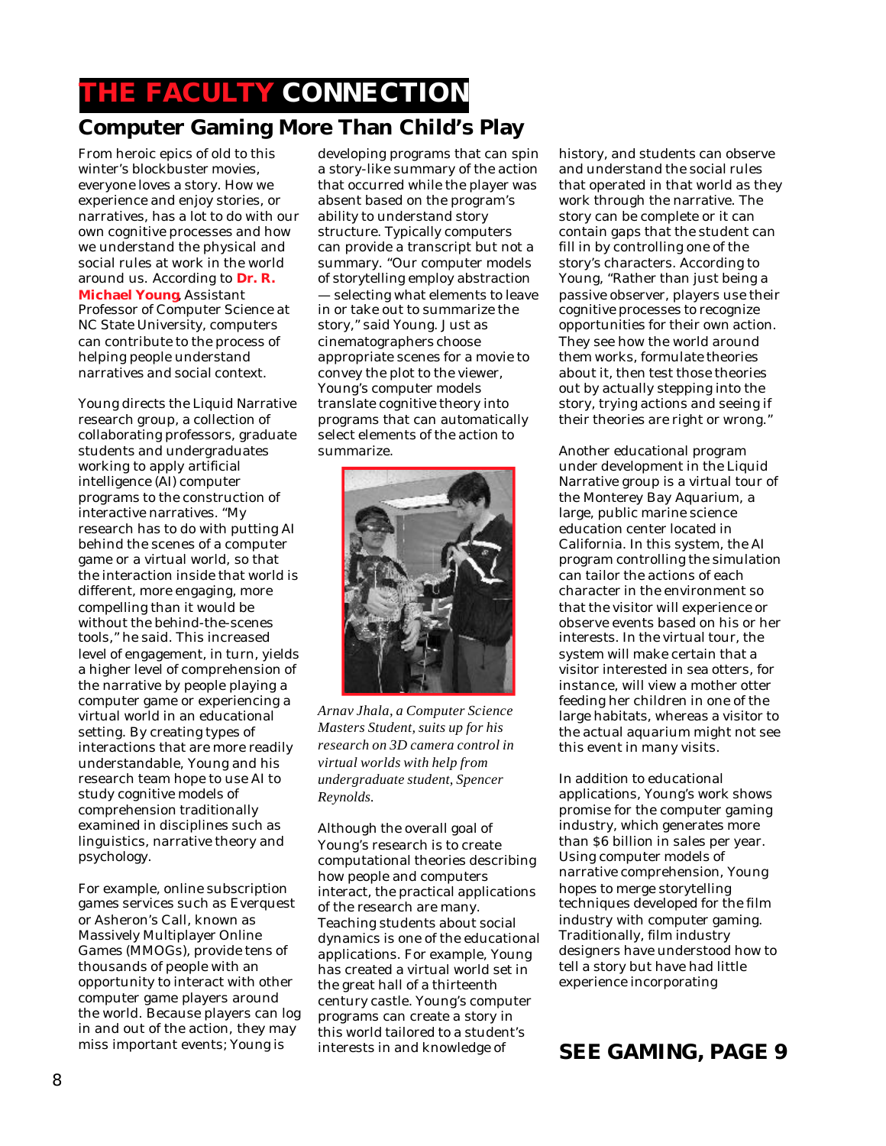## **THE FACULTY CONNECTION Computer Gaming More Than Child's Play**

From heroic epics of old to this winter's blockbuster movies, everyone loves a story. How we experience and enjoy stories, or narratives, has a lot to do with our own cognitive processes and how we understand the physical and social rules at work in the world around us. According to **Dr. R. Michael Young**, Assistant Professor of Computer Science at NC State University, computers can contribute to the process of helping people understand narratives and social context.

Young directs the Liquid Narrative research group, a collection of collaborating professors, graduate students and undergraduates working to apply artificial intelligence (AI) computer programs to the construction of interactive narratives. "My research has to do with putting AI behind the scenes of a computer game or a virtual world, so that the interaction inside that world is different, more engaging, more compelling than it would be without the behind-the-scenes tools," he said. This increased level of engagement, in turn, yields a higher level of comprehension of the narrative by people playing a computer game or experiencing a virtual world in an educational setting. By creating types of interactions that are more readily understandable, Young and his research team hope to use AI to study cognitive models of comprehension traditionally examined in disciplines such as linguistics, narrative theory and psychology.

For example, online subscription games services such as Everquest or Asheron's Call, known as Massively Multiplayer Online Games (MMOGs), provide tens of thousands of people with an opportunity to interact with other computer game players around the world. Because players can log in and out of the action, they may miss important events; Young is

developing programs that can spin a story-like summary of the action that occurred while the player was absent based on the program's ability to understand story structure. Typically computers can provide a transcript but not a summary. "Our computer models of storytelling employ abstraction — selecting what elements to leave in or take out to summarize the story," said Young. Just as cinematographers choose appropriate scenes for a movie to convey the plot to the viewer, Young's computer models translate cognitive theory into programs that can automatically select elements of the action to summarize.



*Arnav Jhala, a Computer Science Masters Student, suits up for his research on 3D camera control in virtual worlds with help from undergraduate student, Spencer Reynolds.*

Although the overall goal of Young's research is to create computational theories describing how people and computers interact, the practical applications of the research are many. Teaching students about social dynamics is one of the educational applications. For example, Young has created a virtual world set in the great hall of a thirteenth century castle. Young's computer programs can create a story in this world tailored to a student's interests in and knowledge of

history, and students can observe and understand the social rules that operated in that world as they work through the narrative. The story can be complete or it can contain gaps that the student can fill in by controlling one of the story's characters. According to Young, "Rather than just being a passive observer, players use their cognitive processes to recognize opportunities for their own action. They see how the world around them works, formulate theories about it, then test those theories out by actually stepping into the story, trying actions and seeing if their theories are right or wrong."

Another educational program under development in the Liquid Narrative group is a virtual tour of the Monterey Bay Aquarium, a large, public marine science education center located in California. In this system, the AI program controlling the simulation can tailor the actions of each character in the environment so that the visitor will experience or observe events based on his or her interests. In the virtual tour, the system will make certain that a visitor interested in sea otters, for instance, will view a mother otter feeding her children in one of the large habitats, whereas a visitor to the actual aquarium might not see this event in many visits.

In addition to educational applications, Young's work shows promise for the computer gaming industry, which generates more than \$6 billion in sales per year. Using computer models of narrative comprehension, Young hopes to merge storytelling techniques developed for the film industry with computer gaming. Traditionally, film industry designers have understood how to tell a story but have had little experience incorporating

#### **SEE GAMING, PAGE 9**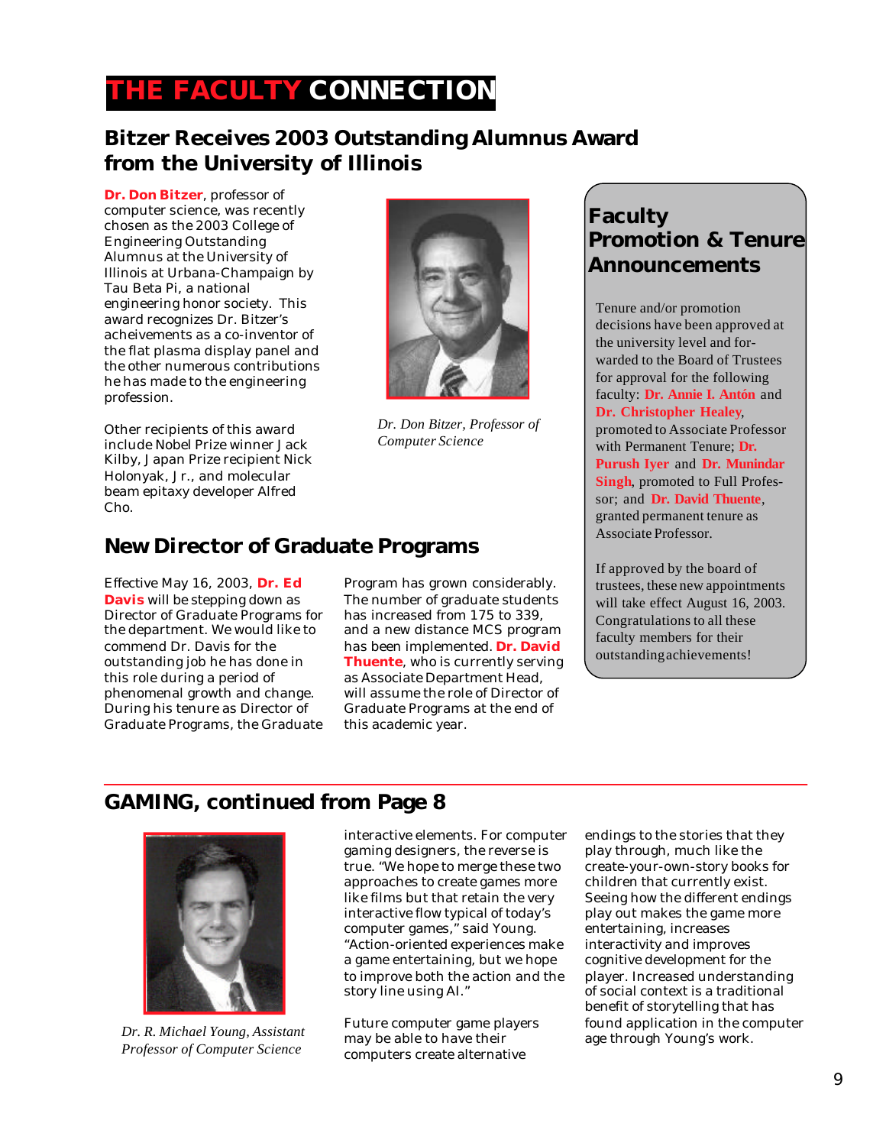## **THE FACULTY CONNECTION**

#### **Bitzer Receives 2003 Outstanding Alumnus Award from the University of Illinois**

**Dr. Don Bitzer**, professor of computer science, was recently chosen as the 2003 College of Engineering Outstanding Alumnus at the University of Illinois at Urbana-Champaign by Tau Beta Pi, a national engineering honor society. This award recognizes Dr. Bitzer's acheivements as a co-inventor of the flat plasma display panel and the other numerous contributions he has made to the engineering profession.

Other recipients of this award include Nobel Prize winner Jack Kilby, Japan Prize recipient Nick Holonyak, Jr., and molecular beam epitaxy developer Alfred Cho.



*Dr. Don Bitzer, Professor of Computer Science*

#### **New Director of Graduate Programs**

Effective May 16, 2003, **Dr. Ed Davis** will be stepping down as Director of Graduate Programs for the department. We would like to commend Dr. Davis for the outstanding job he has done in this role during a period of phenomenal growth and change. During his tenure as Director of Graduate Programs, the Graduate

Program has grown considerably. The number of graduate students has increased from 175 to 339, and a new distance MCS program has been implemented. **Dr. David Thuente**, who is currently serving as Associate Department Head, will assume the role of Director of Graduate Programs at the end of this academic year.

#### **Faculty Promotion & Tenure Announcements**

Tenure and/or promotion decisions have been approved at the university level and forwarded to the Board of Trustees for approval for the following faculty: **Dr. Annie I. Antón** and **Dr. Christopher Healey**, promoted to Associate Professor with Permanent Tenure; **Dr. Purush Iyer** and **Dr. Munindar Singh**, promoted to Full Professor; and **Dr. David Thuente**, granted permanent tenure as Associate Professor.

If approved by the board of trustees, these new appointments will take effect August 16, 2003. Congratulations to all these faculty members for their outstanding achievements!

#### **GAMING, continued from Page 8**



*Dr. R. Michael Young, Assistant Professor of Computer Science*

interactive elements. For computer gaming designers, the reverse is true. "We hope to merge these two approaches to create games more like films but that retain the very interactive flow typical of today's computer games," said Young. "Action-oriented experiences make a game entertaining, but we hope to improve both the action and the story line using AI."

Future computer game players may be able to have their computers create alternative

endings to the stories that they play through, much like the create-your-own-story books for children that currently exist. Seeing how the different endings play out makes the game more entertaining, increases interactivity and improves cognitive development for the player. Increased understanding of social context is a traditional benefit of storytelling that has found application in the computer age through Young's work.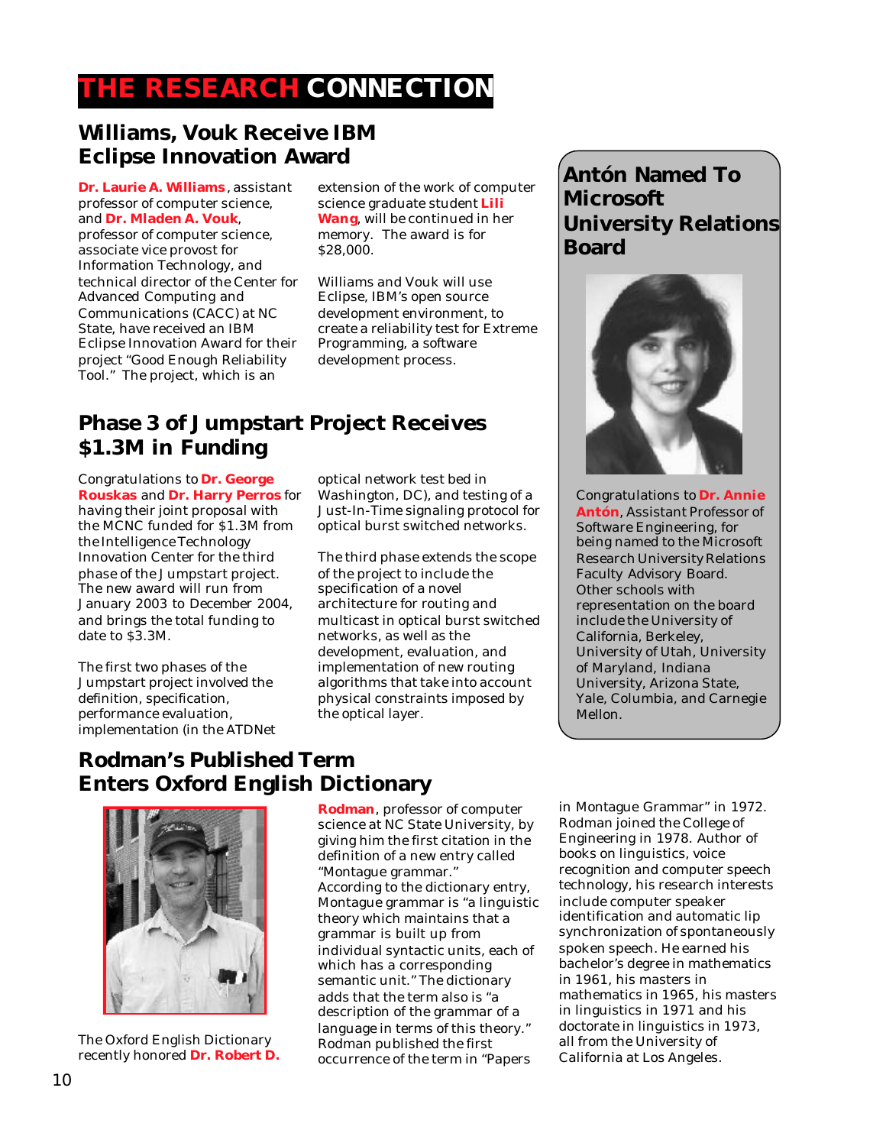# **THE RESEARCH CONNECTION**

#### **Williams, Vouk Receive IBM Eclipse Innovation Award**

**Dr. Laurie A. Williams** , assistant professor of computer science, and **Dr. Mladen A. Vouk**, professor of computer science, associate vice provost for Information Technology, and technical director of the Center for Advanced Computing and Communications (CACC) at NC State, have received an IBM Eclipse Innovation Award for their project "Good Enough Reliability Tool." The project, which is an

extension of the work of computer science graduate student **Lili Wang**, will be continued in her memory. The award is for \$28,000.

Williams and Vouk will use Eclipse, IBM's open source development environment, to create a reliability test for Extreme Programming, a software development process.

#### **Phase 3 of Jumpstart Project Receives \$1.3M in Funding**

Congratulations to **Dr. George Rouskas** and **Dr. Harry Perros** for having their joint proposal with the MCNC funded for \$1.3M from the Intelligence Technology Innovation Center for the third phase of the Jumpstart project. The new award will run from January 2003 to December 2004, and brings the total funding to date to \$3.3M.

The first two phases of the Jumpstart project involved the definition, specification, performance evaluation, implementation (in the ATDNet optical network test bed in Washington, DC), and testing of a Just-In-Time signaling protocol for optical burst switched networks.

The third phase extends the scope of the project to include the specification of a novel architecture for routing and multicast in optical burst switched networks, as well as the development, evaluation, and implementation of new routing algorithms that take into account physical constraints imposed by the optical layer.

## **Antón Named To Microsoft University Relations Board**



Congratulations to **Dr. Annie Antón**, Assistant Professor of Software Engineering, for being named to the Microsoft Research University Relations Faculty Advisory Board. Other schools with representation on the board include the University of California, Berkeley, University of Utah, University of Maryland, Indiana University, Arizona State, Yale, Columbia, and Carnegie Mellon.

## **Rodman's Published Term Enters Oxford English Dictionary**



The Oxford English Dictionary recently honored **Dr. Robert D.**

**Rodman**, professor of computer science at NC State University, by giving him the first citation in the definition of a new entry called "Montague grammar." According to the dictionary entry, Montague grammar is "a linguistic theory which maintains that a grammar is built up from individual syntactic units, each of which has a corresponding semantic unit." The dictionary adds that the term also is "a description of the grammar of a language in terms of this theory." Rodman published the first occurrence of the term in "Papers

in Montague Grammar" in 1972. Rodman joined the College of Engineering in 1978. Author of books on linguistics, voice recognition and computer speech technology, his research interests include computer speaker identification and automatic lip synchronization of spontaneously spoken speech. He earned his bachelor's degree in mathematics in 1961, his masters in mathematics in 1965, his masters in linguistics in 1971 and his doctorate in linguistics in 1973, all from the University of California at Los Angeles.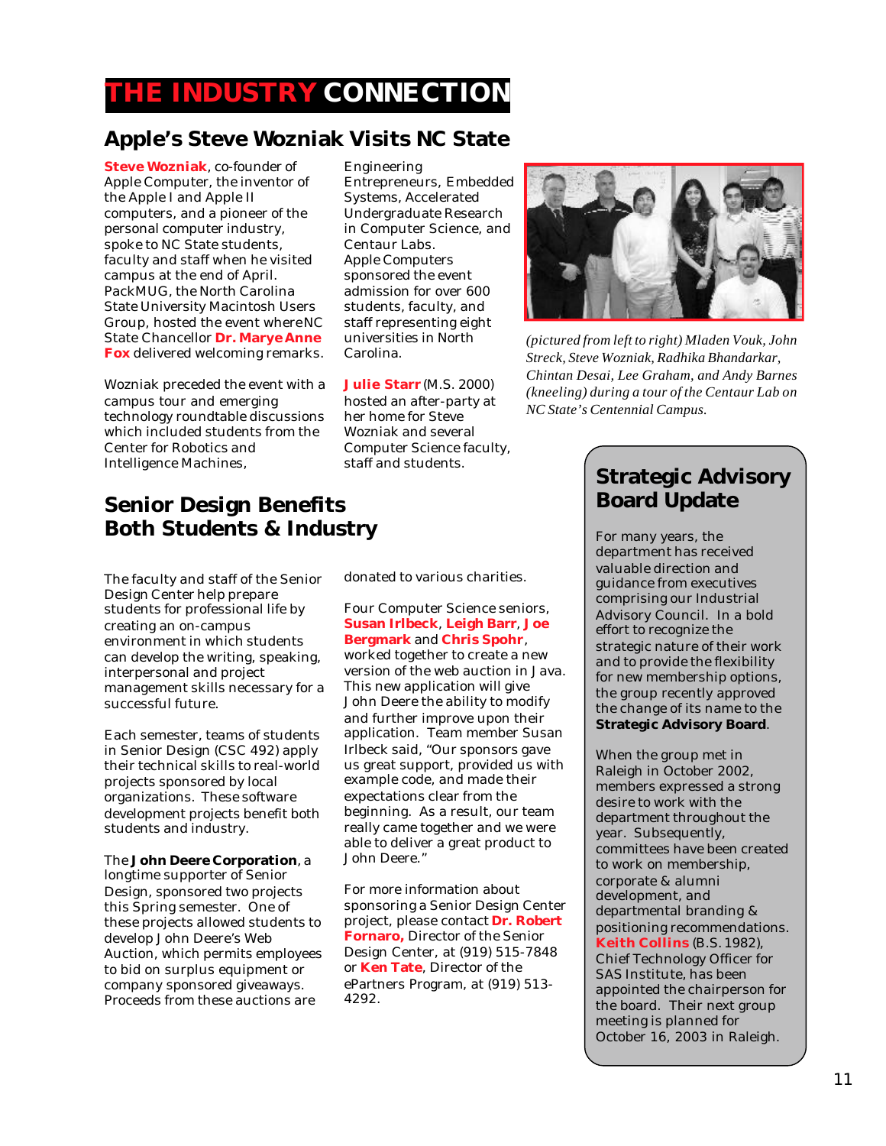# **THE INDUSTRY CONNECTION**

#### **Apple's Steve Wozniak Visits NC State**

**Steve Wozniak**, co-founder of Apple Computer, the inventor of the Apple I and Apple II computers, and a pioneer of the personal computer industry, spoke to NC State students, faculty and staff when he visited campus at the end of April. PackMUG, the North Carolina State University Macintosh Users Group, hosted the event where NC State Chancellor **Dr. Marye Anne Fox** delivered welcoming remarks.

Wozniak preceded the event with a campus tour and emerging technology roundtable discussions which included students from the Center for Robotics and Intelligence Machines,

Engineering Entrepreneurs, Embedded Systems, Accelerated Undergraduate Research in Computer Science, and Centaur Labs. Apple Computers sponsored the event admission for over 600 students, faculty, and staff representing eight universities in North Carolina.

**Julie Starr** (M.S. 2000) hosted an after-party at her home for Steve Wozniak and several Computer Science faculty, staff and students.



*(pictured from left to right) Mladen Vouk, John Streck, Steve Wozniak, Radhika Bhandarkar, Chintan Desai, Lee Graham, and Andy Barnes (kneeling) during a tour of the Centaur Lab on NC State's Centennial Campus.*

#### **Senior Design Benefits Both Students & Industry**

The faculty and staff of the Senior Design Center help prepare students for professional life by creating an on-campus environment in which students can develop the writing, speaking, interpersonal and project management skills necessary for a successful future.

Each semester, teams of students in Senior Design (CSC 492) apply their technical skills to real-world projects sponsored by local organizations. These software development projects benefit both students and industry.

The **John Deere Corporation**, a longtime supporter of Senior Design, sponsored two projects this Spring semester. One of these projects allowed students to develop John Deere's Web Auction, which permits employees to bid on surplus equipment or company sponsored giveaways. Proceeds from these auctions are

donated to various charities.

Four Computer Science seniors, **Susan Irlbeck**, **Leigh Barr**, **Joe Bergmark** and **Chris Spohr**, worked together to create a new version of the web auction in Java. This new application will give John Deere the ability to modify and further improve upon their application. Team member Susan Irlbeck said, "Our sponsors gave us great support, provided us with example code, and made their expectations clear from the beginning. As a result, our team really came together and we were able to deliver a great product to John Deere."

For more information about sponsoring a Senior Design Center project, please contact **Dr. Robert Fornaro,** Director of the Senior Design Center, at (919) 515-7848 or **Ken Tate**, Director of the ePartners Program, at (919) 513- 4292.

#### **Strategic Advisory Board Update**

For many years, the department has received valuable direction and guidance from executives comprising our Industrial Advisory Council. In a bold effort to recognize the strategic nature of their work and to provide the flexibility for new membership options, the group recently approved the change of its name to the **Strategic Advisory Board**.

When the group met in Raleigh in October 2002, members expressed a strong desire to work with the department throughout the year. Subsequently, committees have been created to work on membership, corporate & alumni development, and departmental branding & positioning recommendations. **Keith Collins** (B.S. 1982), Chief Technology Officer for SAS Institute, has been appointed the chairperson for the board. Their next group meeting is planned for October 16, 2003 in Raleigh.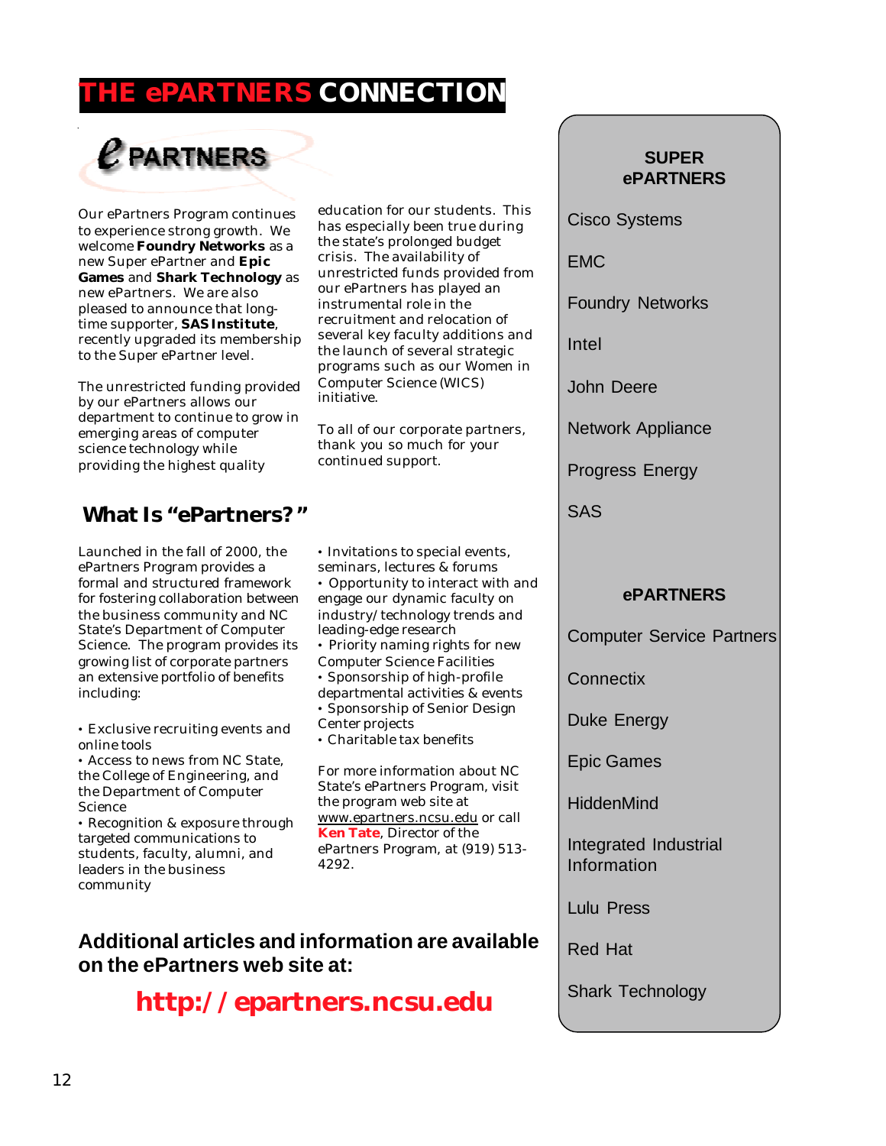# **EPARTNERS CONNECTION**

# $e$  partners

Our ePartners Program continues to experience strong growth. We welcome **Foundry Networks** as a new Super ePartner and **Epic Games** and **Shark Technology** as new ePartners. We are also pleased to announce that longtime supporter, **SAS Institute**, recently upgraded its membership to the Super ePartner level.

The unrestricted funding provided by our ePartners allows our department to continue to grow in emerging areas of computer science technology while providing the highest quality

#### **What Is "ePartners?"**

Launched in the fall of 2000, the ePartners Program provides a formal and structured framework for fostering collaboration between the business community and NC State's Department of Computer Science. The program provides its growing list of corporate partners an extensive portfolio of benefits including:

• Exclusive recruiting events and online tools

• Access to news from NC State, the College of Engineering, and the Department of Computer Science

• Recognition & exposure through targeted communications to students, faculty, alumni, and leaders in the business community

education for our students. This has especially been true during the state's prolonged budget crisis. The availability of unrestricted funds provided from our ePartners has played an instrumental role in the recruitment and relocation of several key faculty additions and the launch of several strategic programs such as our Women in Computer Science (WICS) initiative.

To all of our corporate partners, thank you so much for your continued support.

- Invitations to special events, seminars, lectures & forums
- Opportunity to interact with and engage our dynamic faculty on industry/technology trends and leading-edge research
- Priority naming rights for new
- Computer Science Facilities
- Sponsorship of high-profile
- departmental activities & events • Sponsorship of Senior Design
- Center projects
- Charitable tax benefits

For more information about NC State's ePartners Program, visit the program web site at www.epartners.ncsu.edu or call **Ken Tate**, Director of the ePartners Program, at (919) 513- 4292.

#### **Additional articles and information are available on the ePartners web site at:**

**http://epartners.ncsu.edu**

#### **SUPER ePARTNERS**

Cisco Systems

EMC

Foundry Networks

Intel

John Deere

Network Appliance

Progress Energy

SAS

#### **ePARTNERS**

Computer Service Partners

**Connectix** 

Duke Energy

Epic Games

**HiddenMind** 

Integrated Industrial Information

Lulu Press

Red Hat

Shark Technology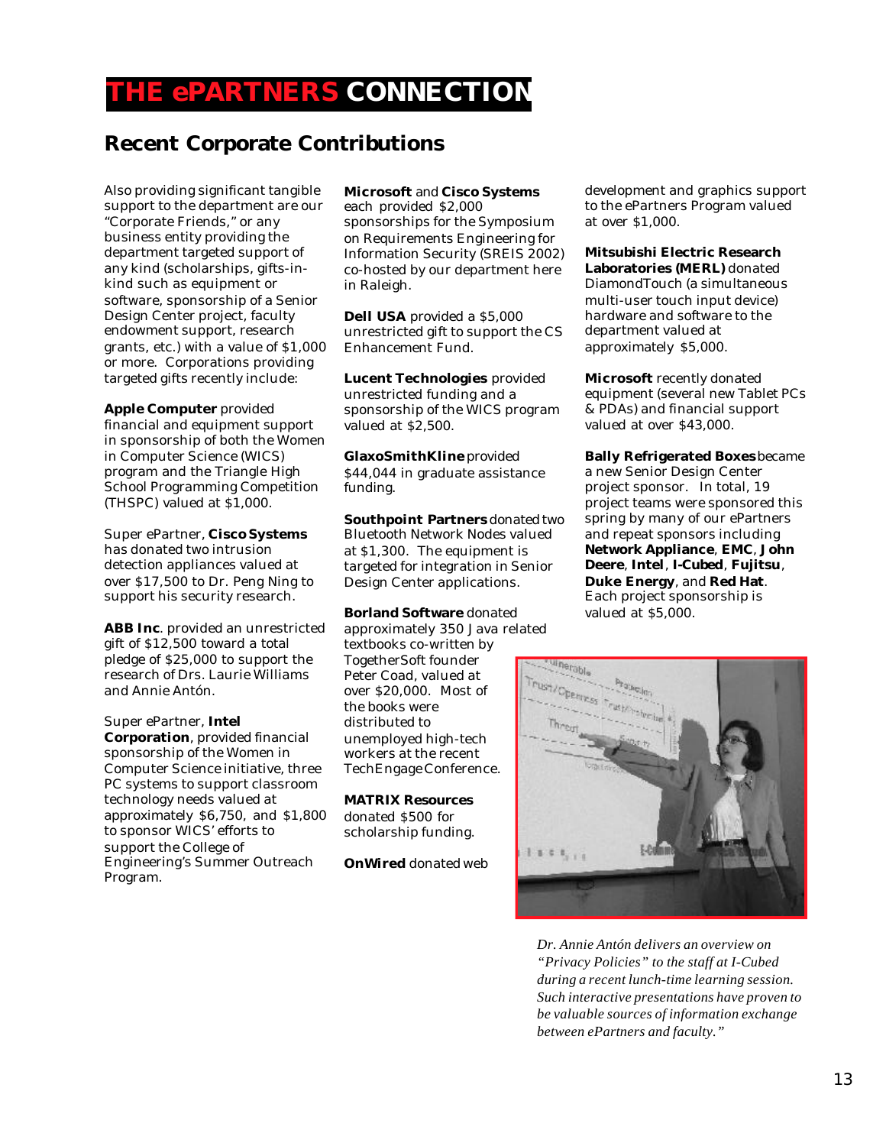## **THE ePARTNERS CONNECTION**

#### **Recent Corporate Contributions**

Also providing significant tangible support to the department are our "Corporate Friends," or any business entity providing the department targeted support of any kind (scholarships, gifts-inkind such as equipment or software, sponsorship of a Senior Design Center project, faculty endowment support, research grants, etc.) with a value of \$1,000 or more. Corporations providing targeted gifts recently include:

**Apple Computer** provided financial and equipment support in sponsorship of both the Women in Computer Science (WICS) program and the Triangle High School Programming Competition (THSPC) valued at \$1,000.

Super ePartner, **Cisco Systems** has donated two intrusion detection appliances valued at over \$17,500 to Dr. Peng Ning to support his security research.

**ABB Inc**. provided an unrestricted gift of \$12,500 toward a total pledge of \$25,000 to support the research of Drs. Laurie Williams and Annie Antón.

Super ePartner, **Intel Corporation**, provided financial sponsorship of the Women in Computer Science initiative, three PC systems to support classroom technology needs valued at approximately \$6,750, and \$1,800 to sponsor WICS' efforts to support the College of Engineering's Summer Outreach Program.

#### **Microsoft** and **Cisco Systems**

each provided \$2,000 sponsorships for the Symposium on Requirements Engineering for Information Security (SREIS 2002) co-hosted by our department here in Raleigh.

**Dell USA** provided a \$5,000 unrestricted gift to support the CS Enhancement Fund.

**Lucent Technologies** provided unrestricted funding and a sponsorship of the WICS program valued at \$2,500.

**GlaxoSmithKline** provided \$44,044 in graduate assistance funding.

**Southpoint Partners** donated two Bluetooth Network Nodes valued at \$1,300. The equipment is targeted for integration in Senior Design Center applications.

**Borland Software** donated approximately 350 Java related textbooks co-written by TogetherSoft founder Peter Coad, valued at over \$20,000. Most of the books were distributed to unemployed high-tech workers at the recent TechEngage Conference.

**MATRIX Resources** donated \$500 for scholarship funding.

**OnWired** donated web

development and graphics support to the ePartners Program valued at over \$1,000.

**Mitsubishi Electric Research Laboratories (MERL)** donated DiamondTouch (a simultaneous multi-user touch input device) hardware and software to the department valued at approximately \$5,000.

**Microsoft** recently donated equipment (several new Tablet PCs & PDAs) and financial support valued at over \$43,000.

**Bally Refrigerated Boxes** became a new Senior Design Center project sponsor. In total, 19 project teams were sponsored this spring by many of our ePartners and repeat sponsors including **Network Appliance**, **EMC**, **John Deere**, **Intel**, **I-Cubed**, **Fujitsu**, **Duke Energy**, and **Red Hat**. Each project sponsorship is valued at \$5,000.



*Dr. Annie Antón delivers an overview on "Privacy Policies" to the staff at I-Cubed during a recent lunch-time learning session. Such interactive presentations have proven to be valuable sources of information exchange between ePartners and faculty."*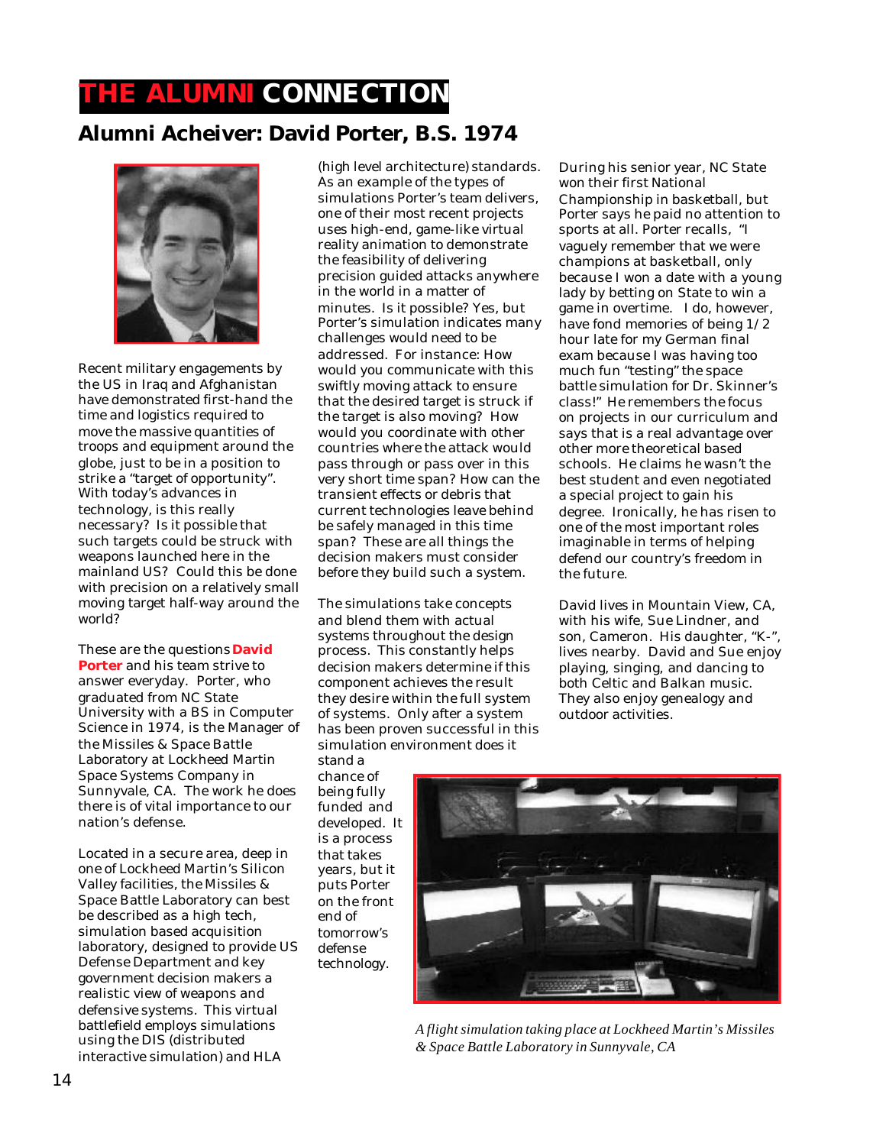# **THE ALUMNI CONNECTION**

#### **Alumni Acheiver: David Porter, B.S. 1974**



Recent military engagements by the US in Iraq and Afghanistan have demonstrated first-hand the time and logistics required to move the massive quantities of troops and equipment around the globe, just to be in a position to strike a "target of opportunity". With today's advances in technology, is this really necessary? Is it possible that such targets could be struck with weapons launched here in the mainland US? Could this be done with precision on a relatively small moving target half-way around the world?

These are the questions **David Porter** and his team strive to answer everyday. Porter, who graduated from NC State University with a BS in Computer Science in 1974, is the Manager of the Missiles & Space Battle Laboratory at Lockheed Martin Space Systems Company in Sunnyvale, CA. The work he does there is of vital importance to our nation's defense.

Located in a secure area, deep in one of Lockheed Martin's Silicon Valley facilities, the Missiles & Space Battle Laboratory can best be described as a high tech, simulation based acquisition laboratory, designed to provide US Defense Department and key government decision makers a realistic view of weapons and defensive systems. This virtual battlefield employs simulations using the DIS (distributed interactive simulation) and HLA

(high level architecture) standards. As an example of the types of simulations Porter's team delivers, one of their most recent projects uses high-end, game-like virtual reality animation to demonstrate the feasibility of delivering precision guided attacks anywhere in the world in a matter of minutes. Is it possible? Yes, but Porter's simulation indicates many challenges would need to be addressed. For instance: How would you communicate with this swiftly moving attack to ensure that the desired target is struck if the target is also moving? How would you coordinate with other countries where the attack would pass through or pass over in this very short time span? How can the transient effects or debris that current technologies leave behind be safely managed in this time span? These are all things the decision makers must consider before they build such a system.

The simulations take concepts and blend them with actual systems throughout the design process. This constantly helps decision makers determine if this component achieves the result they desire within the full system of systems. Only after a system has been proven successful in this simulation environment does it

stand a chance of being fully funded and developed. It is a process that takes years, but it puts Porter on the front end of tomorrow's defense technology.

*A flight simulation taking place at Lockheed Martin's Missiles & Space Battle Laboratory in Sunnyvale, CA*

During his senior year, NC State won their first National Championship in basketball, but Porter says he paid no attention to sports at all. Porter recalls, "I vaguely remember that we were champions at basketball, only because I won a date with a young lady by betting on State to win a game in overtime. I do, however, have fond memories of being 1/2 hour late for my German final exam because I was having too much fun "testing" the space battle simulation for Dr. Skinner's class!" He remembers the focus on projects in our curriculum and says that is a real advantage over other more theoretical based schools. He claims he wasn't the best student and even negotiated a special project to gain his degree. Ironically, he has risen to one of the most important roles imaginable in terms of helping defend our country's freedom in the future.

David lives in Mountain View, CA, with his wife, Sue Lindner, and son, Cameron. His daughter, "K-", lives nearby. David and Sue enjoy playing, singing, and dancing to both Celtic and Balkan music. They also enjoy genealogy and outdoor activities.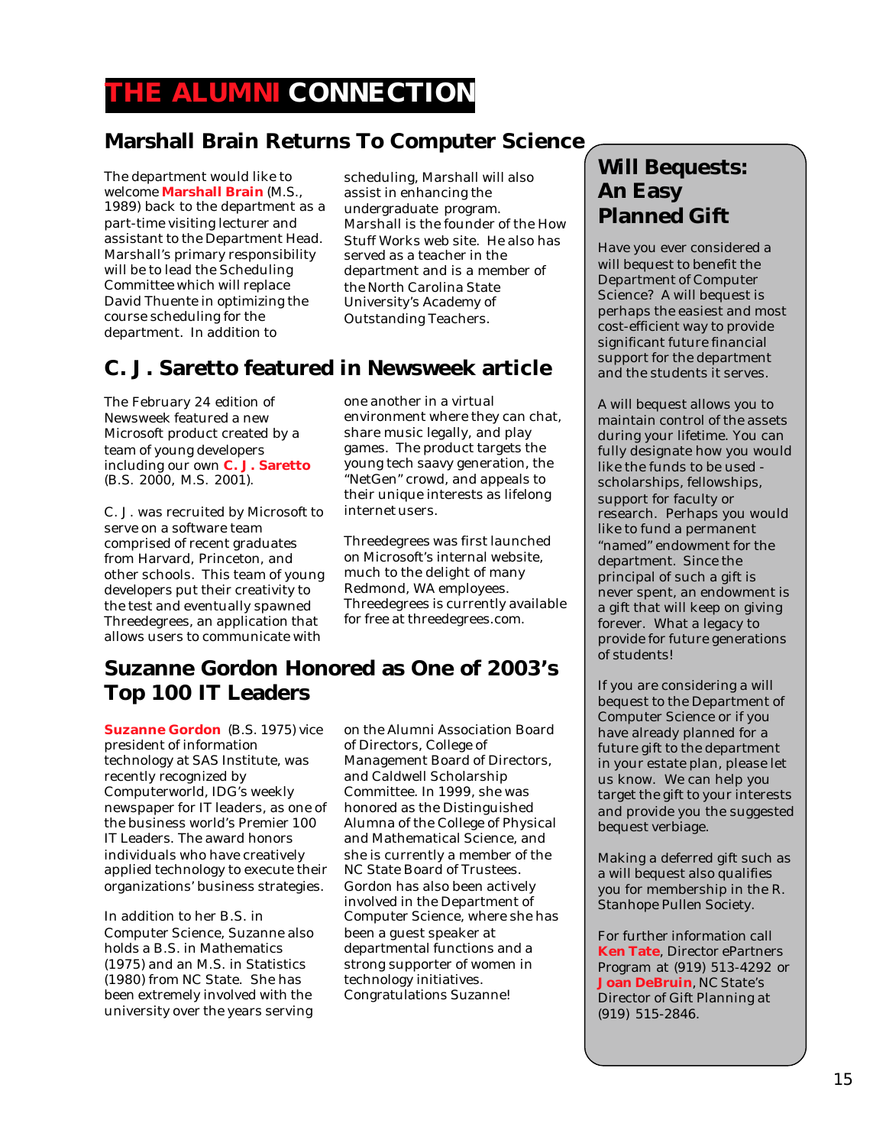## **THE ALUMNI CONNECTION**

#### **Marshall Brain Returns To Computer Science**

The department would like to welcome **Marshall Brain** (M.S., 1989) back to the department as a part-time visiting lecturer and assistant to the Department Head. Marshall's primary responsibility will be to lead the Scheduling Committee which will replace David Thuente in optimizing the course scheduling for the department. In addition to

scheduling, Marshall will also assist in enhancing the undergraduate program. Marshall is the founder of the How Stuff Works web site. He also has served as a teacher in the department and is a member of the North Carolina State University's Academy of Outstanding Teachers.

#### **C. J. Saretto featured in Newsweek article**

The February 24 edition of Newsweek featured a new Microsoft product created by a team of young developers including our own **C. J. Saretto** (B.S. 2000, M.S. 2001).

C. J. was recruited by Microsoft to serve on a software team comprised of recent graduates from Harvard, Princeton, and other schools. This team of young developers put their creativity to the test and eventually spawned Threedegrees, an application that allows users to communicate with

one another in a virtual environment where they can chat, share music legally, and play games. The product targets the young tech saavy generation, the "NetGen" crowd, and appeals to their unique interests as lifelong internet users.

Threedegrees was first launched on Microsoft's internal website, much to the delight of many Redmond, WA employees. Threedegrees is currently available for free at threedegrees.com.

#### **Suzanne Gordon Honored as One of 2003's Top 100 IT Leaders**

**Suzanne Gordon** (B.S. 1975) vice president of information technology at SAS Institute, was recently recognized by Computerworld, IDG's weekly newspaper for IT leaders, as one of the business world's Premier 100 IT Leaders. The award honors individuals who have creatively applied technology to execute their organizations' business strategies.

In addition to her B.S. in Computer Science, Suzanne also holds a B.S. in Mathematics (1975) and an M.S. in Statistics (1980) from NC State. She has been extremely involved with the university over the years serving

on the Alumni Association Board of Directors, College of Management Board of Directors, and Caldwell Scholarship Committee. In 1999, she was honored as the Distinguished Alumna of the College of Physical and Mathematical Science, and she is currently a member of the NC State Board of Trustees. Gordon has also been actively involved in the Department of Computer Science, where she has been a guest speaker at departmental functions and a strong supporter of women in technology initiatives. Congratulations Suzanne!

#### **Will Bequests: An Easy Planned Gift**

Have you ever considered a will bequest to benefit the Department of Computer Science? A will bequest is perhaps the easiest and most cost-efficient way to provide significant future financial support for the department and the students it serves.

A will bequest allows you to maintain control of the assets during your lifetime. You can fully designate how you would like the funds to be used scholarships, fellowships, support for faculty or research. Perhaps you would like to fund a permanent "named" endowment for the department. Since the principal of such a gift is never spent, an endowment is a gift that will keep on giving forever. What a legacy to provide for future generations of students!

If you are considering a will bequest to the Department of Computer Science or if you have already planned for a future gift to the department in your estate plan, please let us know. We can help you target the gift to your interests and provide you the suggested bequest verbiage.

Making a deferred gift such as a will bequest also qualifies you for membership in the R. Stanhope Pullen Society.

For further information call **Ken Tate**, Director ePartners Program at (919) 513-4292 or **Joan DeBruin**, NC State's Director of Gift Planning at (919) 515-2846.